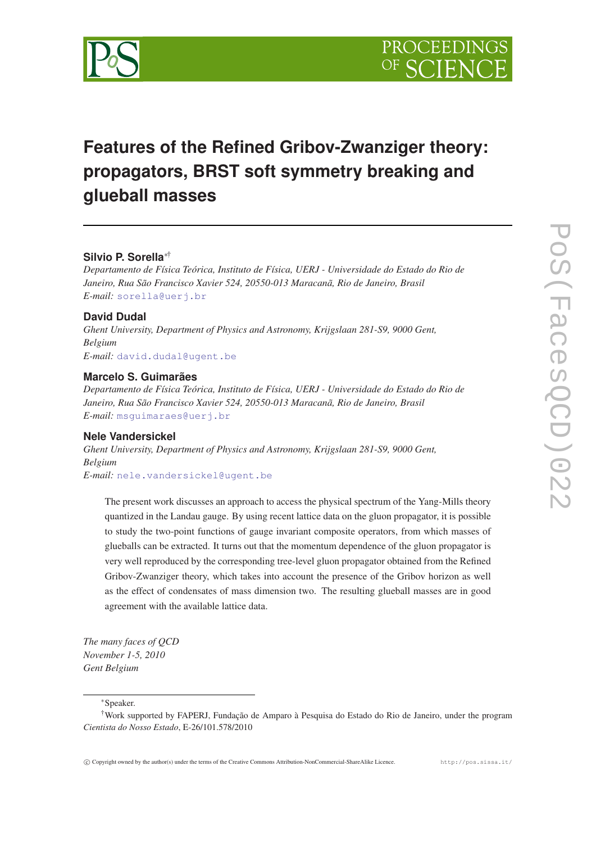

# **Features of the Refined Gribov-Zwanziger theory: propagators, BRST soft symmetry breaking and glueball masses**

# **Silvio P. Sorella**∗†

*Departamento de Física Teórica, Instituto de Física, UERJ - Universidade do Estado do Rio de Janeiro, Rua São Francisco Xavier 524, 20550-013 Maracanã, Rio de Janeiro, Brasil E-mail:* [sorella@uerj.br](mailto:sorella@uerj.br)

# **David Dudal**

*Ghent University, Department of Physics and Astronomy, Krijgslaan 281-S9, 9000 Gent, Belgium E-mail:* [david.dudal@ugent.be](mailto:david.dudal@ugent.be)

# **Marcelo S. Guimarães**

*Departamento de Física Teórica, Instituto de Física, UERJ - Universidade do Estado do Rio de Janeiro, Rua São Francisco Xavier 524, 20550-013 Maracanã, Rio de Janeiro, Brasil E-mail:* [msguimaraes@uerj.br](mailto:msguimaraes@uerj.br)

# **Nele Vandersickel**

*Ghent University, Department of Physics and Astronomy, Krijgslaan 281-S9, 9000 Gent, Belgium E-mail:* [nele.vandersickel@ugent.be](mailto:nele.vandersickel@ugent.be)

The present work discusses an approach to access the physical spectrum of the Yang-Mills theory quantized in the Landau gauge. By using recent lattice data on the gluon propagator, it is possible to study the two-point functions of gauge invariant composite operators, from which masses of glueballs can be extracted. It turns out that the momentum dependence of the gluon propagator is very well reproduced by the corresponding tree-level gluon propagator obtained from the Refined Gribov-Zwanziger theory, which takes into account the presence of the Gribov horizon as well as the effect of condensates of mass dimension two. The resulting glueball masses are in good agreement with the available lattice data.

*The many faces of QCD November 1-5, 2010 Gent Belgium*

<sup>∗</sup>Speaker.

<sup>†</sup>Work supported by FAPERJ, Fundação de Amparo à Pesquisa do Estado do Rio de Janeiro, under the program *Cientista do Nosso Estado*, E-26/101.578/2010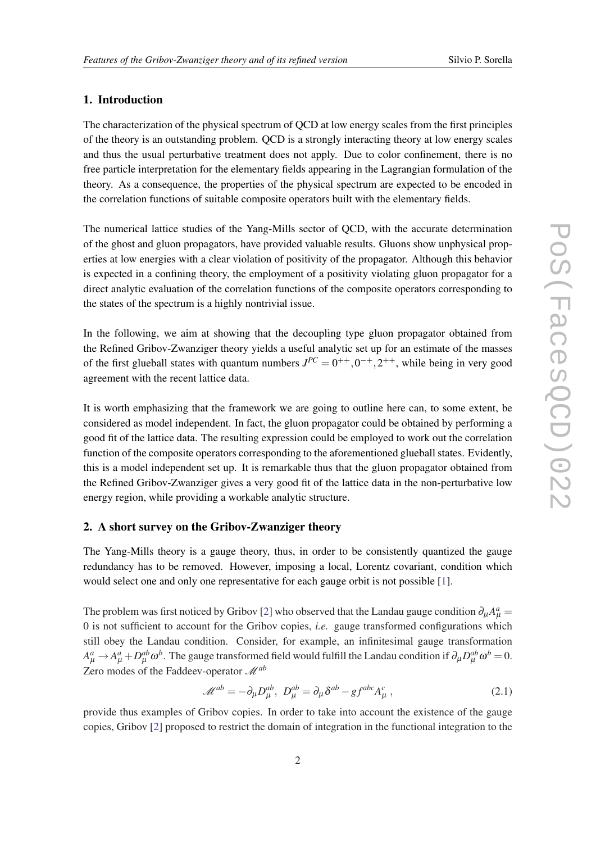# 1. Introduction

The characterization of the physical spectrum of QCD at low energy scales from the first principles of the theory is an outstanding problem. QCD is a strongly interacting theory at low energy scales and thus the usual perturbative treatment does not apply. Due to color confinement, there is no free particle interpretation for the elementary fields appearing in the Lagrangian formulation of the theory. As a consequence, the properties of the physical spectrum are expected to be encoded in the correlation functions of suitable composite operators built with the elementary fields.

The numerical lattice studies of the Yang-Mills sector of QCD, with the accurate determination of the ghost and gluon propagators, have provided valuable results. Gluons show unphysical properties at low energies with a clear violation of positivity of the propagator. Although this behavior is expected in a confining theory, the employment of a positivity violating gluon propagator for a direct analytic evaluation of the correlation functions of the composite operators corresponding to the states of the spectrum is a highly nontrivial issue.

In the following, we aim at showing that the decoupling type gluon propagator obtained from the Refined Gribov-Zwanziger theory yields a useful analytic set up for an estimate of the masses of the first glueball states with quantum numbers  $J^{PC} = 0^{++}$ ,  $0^{-+}$ ,  $2^{++}$ , while being in very good agreement with the recent lattice data.

It is worth emphasizing that the framework we are going to outline here can, to some extent, be considered as model independent. In fact, the gluon propagator could be obtained by performing a good fit of the lattice data. The resulting expression could be employed to work out the correlation function of the composite operators corresponding to the aforementioned glueball states. Evidently, this is a model independent set up. It is remarkable thus that the gluon propagator obtained from the Refined Gribov-Zwanziger gives a very good fit of the lattice data in the non-perturbative low energy region, while providing a workable analytic structure.

#### 2. A short survey on the Gribov-Zwanziger theory

The Yang-Mills theory is a gauge theory, thus, in order to be consistently quantized the gauge redundancy has to be removed. However, imposing a local, Lorentz covariant, condition which would select one and only one representative for each gauge orbit is not possible [[1](#page-7-0)].

The problem was first noticed by Gribov [\[2\]](#page-7-0) who observed that the Landau gauge condition  $\partial_\mu A^a_\mu =$ 0 is not sufficient to account for the Gribov copies, *i.e.* gauge transformed configurations which still obey the Landau condition. Consider, for example, an infinitesimal gauge transformation  $A_\mu^a\to A_\mu^a+D_\mu^{ab}\,\omega^b$ . The gauge transformed field would fulfill the Landau condition if  $\partial_\mu D_\mu^{ab}\omega^b=0.$ Zero modes of the Faddeev-operator M*ab*

$$
\mathcal{M}^{ab} = -\partial_{\mu} D_{\mu}^{ab}, \ D_{\mu}^{ab} = \partial_{\mu} \delta^{ab} - g f^{abc} A_{\mu}^{c} , \qquad (2.1)
$$

provide thus examples of Gribov copies. In order to take into account the existence of the gauge copies, Gribov [\[2\]](#page-7-0) proposed to restrict the domain of integration in the functional integration to the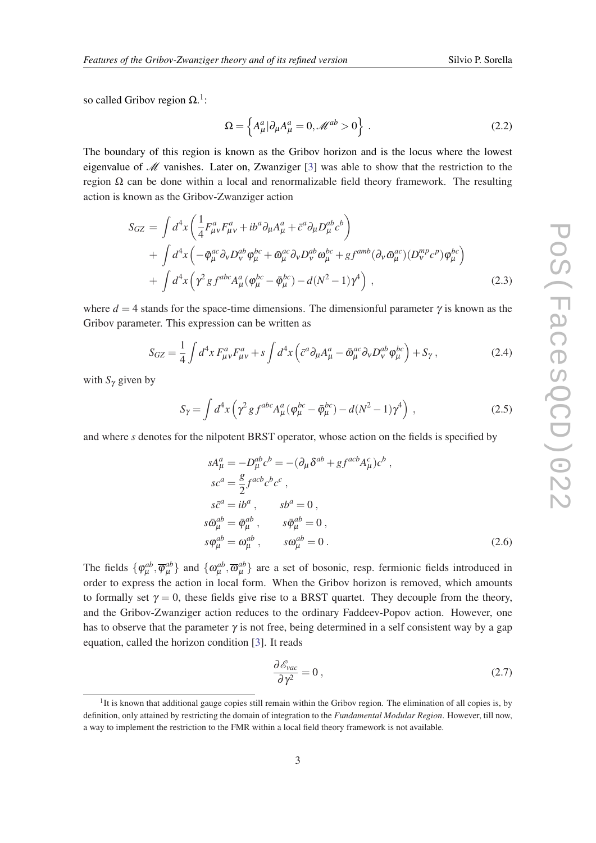<span id="page-2-0"></span>so called Gribov region  $\Omega$ .<sup>1</sup>:

$$
\Omega = \left\{ A^a_\mu | \partial_\mu A^a_\mu = 0, \mathcal{M}^{ab} > 0 \right\} \,. \tag{2.2}
$$

The boundary of this region is known as the Gribov horizon and is the locus where the lowest eigenvalue of  $M$  vanishes. Later on, Zwanziger [[3](#page-7-0)] was able to show that the restriction to the region  $Ω$  can be done within a local and renormalizable field theory framework. The resulting action is known as the Gribov-Zwanziger action

$$
S_{GZ} = \int d^4x \left( \frac{1}{4} F_{\mu\nu}^a F_{\mu\nu}^a + i b^a \partial_\mu A_\mu^a + \bar{c}^a \partial_\mu D_\mu^{abc}{}^b \right) + \int d^4x \left( -\bar{\varphi}_\mu^{ac} \partial_\nu D_\nu^{ab} \varphi_\mu^{bc} + \bar{\omega}_\mu^{ac} \partial_\nu D_\nu^{ab} \omega_\mu^{bc} + gf^{amb} (\partial_\nu \bar{\omega}_\mu^{ac}) (D_\nu^{mp} c^p) \varphi_\mu^{bc} \right) + \int d^4x \left( \gamma^2 g f^{abc} A_\mu^a (\varphi_\mu^{bc} - \bar{\varphi}_\mu^{bc}) - d(N^2 - 1) \gamma^4 \right) ,
$$
 (2.3)

where  $d = 4$  stands for the space-time dimensions. The dimensionful parameter  $\gamma$  is known as the Gribov parameter. This expression can be written as

$$
S_{GZ} = \frac{1}{4} \int d^4x F^a_{\mu\nu} F^a_{\mu\nu} + s \int d^4x \left( \bar{c}^a \partial_\mu A^a_\mu - \bar{\omega}^{ac}_\mu \partial_\nu D^{ab}_\nu \varphi^{bc}_\mu \right) + S_\gamma \,, \tag{2.4}
$$

with  $S_\gamma$  given by

$$
S_{\gamma} = \int d^4x \left( \gamma^2 g f^{abc} A^a_{\mu} (\varphi^{bc}_{\mu} - \bar{\varphi}^{bc}_{\mu}) - d(N^2 - 1) \gamma^4 \right) , \qquad (2.5)
$$

and where *s* denotes for the nilpotent BRST operator, whose action on the fields is specified by

$$
sA_{\mu}^{a} = -D_{\mu}^{ab}c^{b} = -(\partial_{\mu}\delta^{ab} + gf^{acb}A_{\mu}^{c})c^{b},
$$
  
\n
$$
sc^{a} = \frac{g}{2}f^{acb}c^{b}c^{c},
$$
  
\n
$$
s\bar{c}^{a} = ib^{a}, \qquad sb^{a} = 0,
$$
  
\n
$$
s\bar{\omega}_{\mu}^{ab} = \bar{\phi}_{\mu}^{ab}, \qquad s\bar{\phi}_{\mu}^{ab} = 0,
$$
  
\n
$$
s\varphi_{\mu}^{ab} = \omega_{\mu}^{ab}, \qquad s\omega_{\mu}^{ab} = 0.
$$
\n(2.6)

The fields  $\{\varphi_{\mu}^{ab}, \overline{\varphi}_{\mu}^{ab}\}$  $\{\omega_{\mu}^{ab}\}\$  and  $\{\omega_{\mu}^{ab}, \overline{\omega}_{\mu}^{ab}\}\$  are a set of bosonic, resp. fermionic fields introduced in order to express the action in local form. When the Gribov horizon is removed, which amounts to formally set  $\gamma = 0$ , these fields give rise to a BRST quartet. They decouple from the theory, and the Gribov-Zwanziger action reduces to the ordinary Faddeev-Popov action. However, one has to observe that the parameter  $\gamma$  is not free, being determined in a self consistent way by a gap equation, called the horizon condition [[3](#page-7-0)]. It reads

$$
\frac{\partial \mathcal{E}_{\text{vac}}}{\partial \gamma^2} = 0 \,, \tag{2.7}
$$

<sup>&</sup>lt;sup>1</sup>It is known that additional gauge copies still remain within the Gribov region. The elimination of all copies is, by definition, only attained by restricting the domain of integration to the *Fundamental Modular Region*. However, till now, a way to implement the restriction to the FMR within a local field theory framework is not available.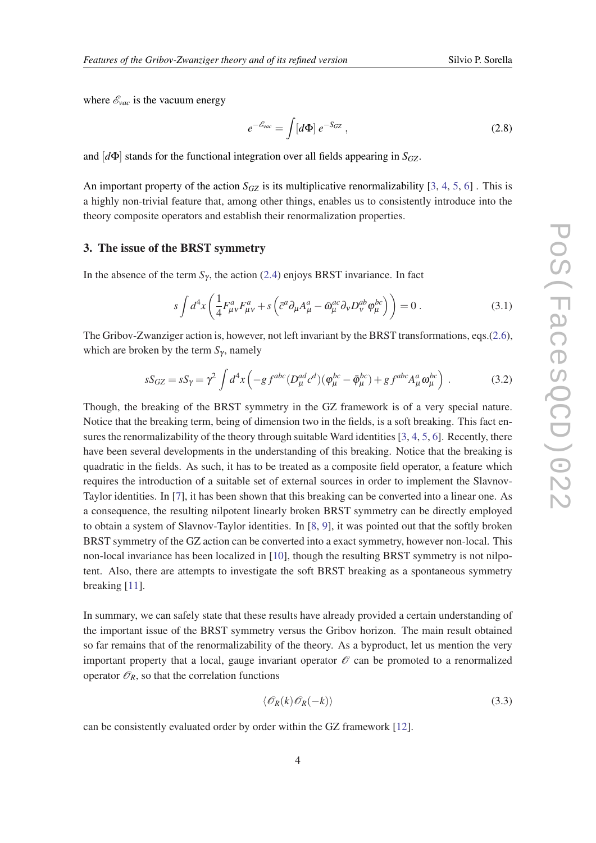where  $\mathscr{E}_{vac}$  is the vacuum energy

$$
e^{-\mathscr{E}_{\text{vac}}} = \int [d\Phi] \, e^{-S_{\text{GZ}}}, \tag{2.8}
$$

and  $[d\Phi]$  stands for the functional integration over all fields appearing in  $S_{GZ}$ .

An important property of the action  $S_{GZ}$  is its multiplicative renormalizability [\[3,](#page-7-0) [4,](#page-7-0) [5,](#page-7-0) [6](#page-7-0)]. This is a highly non-trivial feature that, among other things, enables us to consistently introduce into the theory composite operators and establish their renormalization properties.

### 3. The issue of the BRST symmetry

In the absence of the term  $S_{\gamma}$ , the action [\(2.4](#page-2-0)) enjoys BRST invariance. In fact

$$
s \int d^4x \left( \frac{1}{4} F^a_{\mu\nu} F^a_{\mu\nu} + s \left( \bar{c}^a \partial_\mu A^a_\mu - \bar{\omega}^{ac}_\mu \partial_\nu D^{ab}_\nu \varphi^{bc}_\mu \right) \right) = 0 \tag{3.1}
$$

The Gribov-Zwanziger action is, however, not left invariant by the BRST transformations, eqs.[\(2.6](#page-2-0)), which are broken by the term  $S_{\gamma}$ , namely

$$
sS_{GZ} = sS_{\gamma} = \gamma^2 \int d^4x \left( -g f^{abc} (D^{ad}_{\mu} c^d) (\varphi^{bc}_{\mu} - \bar{\varphi}^{bc}_{\mu}) + g f^{abc} A^a_{\mu} \omega^{bc}_{\mu} \right) . \tag{3.2}
$$

Though, the breaking of the BRST symmetry in the GZ framework is of a very special nature. Notice that the breaking term, being of dimension two in the fields, is a soft breaking. This fact ensures the renormalizability of the theory through suitable Ward identities [\[3](#page-7-0), [4,](#page-7-0) [5](#page-7-0), [6\]](#page-7-0). Recently, there have been several developments in the understanding of this breaking. Notice that the breaking is quadratic in the fields. As such, it has to be treated as a composite field operator, a feature which requires the introduction of a suitable set of external sources in order to implement the Slavnov-Taylor identities. In [[7\]](#page-7-0), it has been shown that this breaking can be converted into a linear one. As a consequence, the resulting nilpotent linearly broken BRST symmetry can be directly employed to obtain a system of Slavnov-Taylor identities. In [[8](#page-7-0), [9](#page-7-0)], it was pointed out that the softly broken BRST symmetry of the GZ action can be converted into a exact symmetry, however non-local. This non-local invariance has been localized in [[10](#page-8-0)], though the resulting BRST symmetry is not nilpotent. Also, there are attempts to investigate the soft BRST breaking as a spontaneous symmetry breaking [[11\]](#page-8-0).

In summary, we can safely state that these results have already provided a certain understanding of the important issue of the BRST symmetry versus the Gribov horizon. The main result obtained so far remains that of the renormalizability of the theory. As a byproduct, let us mention the very important property that a local, gauge invariant operator  $\mathscr O$  can be promoted to a renormalized operator  $\mathcal{O}_R$ , so that the correlation functions

$$
\langle \mathcal{O}_R(k)\mathcal{O}_R(-k)\rangle\tag{3.3}
$$

can be consistently evaluated order by order within the GZ framework [[12\]](#page-8-0).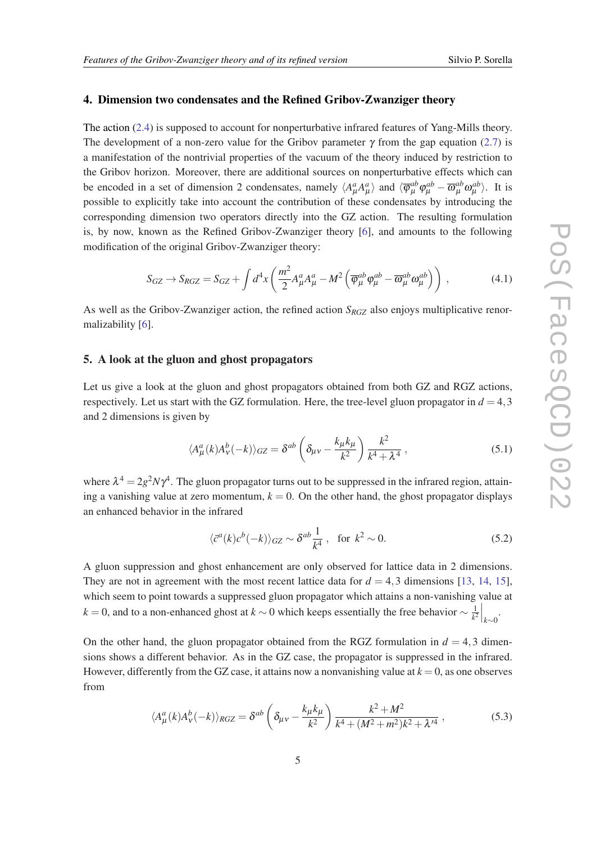#### <span id="page-4-0"></span>4. Dimension two condensates and the Refined Gribov-Zwanziger theory

The action [\(2.4\)](#page-2-0) is supposed to account for nonperturbative infrared features of Yang-Mills theory. The development of a non-zero value for the Gribov parameter  $\gamma$  from the gap equation ([2.7](#page-2-0)) is a manifestation of the nontrivial properties of the vacuum of the theory induced by restriction to the Gribov horizon. Moreover, there are additional sources on nonperturbative effects which can be encoded in a set of dimension 2 condensates, namely  $\langle A^a_\mu A^a_\mu \rangle$  and  $\langle \overline{\phi}^{ab}_\mu \phi^{ab}_\mu - \overline{\omega}^{ab}_\mu \omega^{ab}_\mu \rangle$ . It is possible to explicitly take into account the contribution of these condensates by introducing the corresponding dimension two operators directly into the GZ action. The resulting formulation is, by now, known as the Refined Gribov-Zwanziger theory [[6](#page-7-0)], and amounts to the following modification of the original Gribov-Zwanziger theory:

$$
S_{GZ} \rightarrow S_{RGZ} = S_{GZ} + \int d^4x \left( \frac{m^2}{2} A^a_\mu A^a_\mu - M^2 \left( \overline{\varphi}^{ab}_\mu \varphi^{ab}_\mu - \overline{\omega}^{ab}_\mu \omega^{ab}_\mu \right) \right) , \qquad (4.1)
$$

As well as the Gribov-Zwanziger action, the refined action *SRGZ* also enjoys multiplicative renormalizability [[6](#page-7-0)].

#### 5. A look at the gluon and ghost propagators

Let us give a look at the gluon and ghost propagators obtained from both GZ and RGZ actions, respectively. Let us start with the GZ formulation. Here, the tree-level gluon propagator in  $d = 4,3$ and 2 dimensions is given by

$$
\langle A^a_\mu(k) A^b_\nu(-k) \rangle_{GZ} = \delta^{ab} \left( \delta_{\mu\nu} - \frac{k_\mu k_\mu}{k^2} \right) \frac{k^2}{k^4 + \lambda^4} , \qquad (5.1)
$$

where  $\lambda^4 = 2g^2 N \gamma^4$ . The gluon propagator turns out to be suppressed in the infrared region, attaining a vanishing value at zero momentum,  $k = 0$ . On the other hand, the ghost propagator displays an enhanced behavior in the infrared

$$
\langle \bar{c}^a(k)c^b(-k)\rangle_{GZ} \sim \delta^{ab}\frac{1}{k^4} , \text{ for } k^2 \sim 0.
$$
 (5.2)

A gluon suppression and ghost enhancement are only observed for lattice data in 2 dimensions. They are not in agreement with the most recent lattice data for  $d = 4,3$  dimensions [[13,](#page-8-0) [14,](#page-8-0) [15\]](#page-8-0), which seem to point towards a suppressed gluon propagator which attains a non-vanishing value at  $k = 0$ , and to a non-enhanced ghost at  $k \sim 0$  which keeps essentially the free behavior  $\sim \frac{1}{k^2}$  $\frac{1}{k^2}\Big|_{k\sim 0}$ .

On the other hand, the gluon propagator obtained from the RGZ formulation in  $d = 4.3$  dimensions shows a different behavior. As in the GZ case, the propagator is suppressed in the infrared. However, differently from the GZ case, it attains now a nonvanishing value at  $k = 0$ , as one observes from

$$
\langle A_{\mu}^{a}(k)A_{\nu}^{b}(-k)\rangle_{RGZ} = \delta^{ab} \left(\delta_{\mu\nu} - \frac{k_{\mu}k_{\mu}}{k^{2}}\right) \frac{k^{2} + M^{2}}{k^{4} + (M^{2} + m^{2})k^{2} + \lambda'^{4}} ,\qquad (5.3)
$$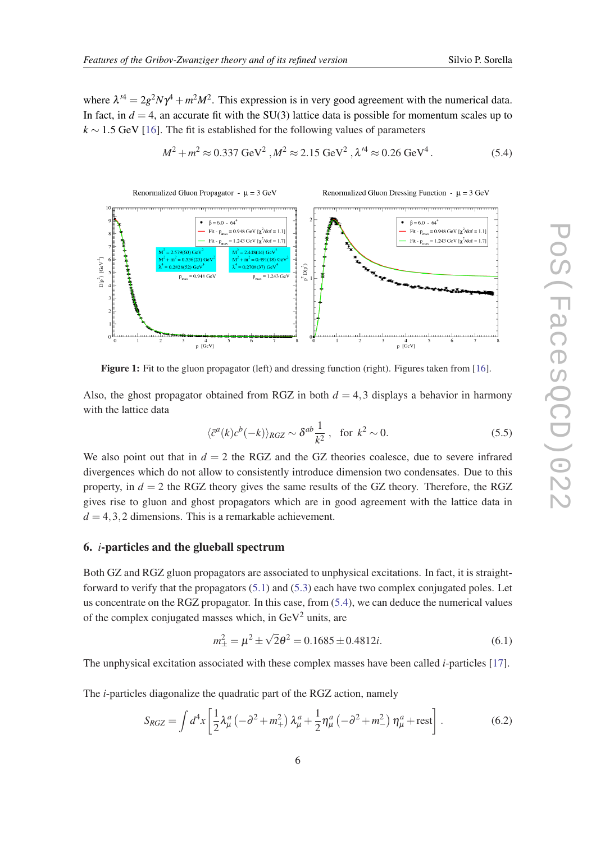<span id="page-5-0"></span>where  $\lambda'^4 = 2g^2N\gamma^4 + m^2M^2$ . This expression is in very good agreement with the numerical data. In fact, in  $d = 4$ , an accurate fit with the SU(3) lattice data is possible for momentum scales up to *k* ∼ 1.5 GeV [\[16](#page-8-0)]. The fit is established for the following values of parameters

$$
M^{2} + m^{2} \approx 0.337 \text{ GeV}^{2}, M^{2} \approx 2.15 \text{ GeV}^{2}, \lambda'^{4} \approx 0.26 \text{ GeV}^{4}. \tag{5.4}
$$



Figure 1: Fit to the gluon propagator (left) and dressing function (right). Figures taken from [\[16](#page-8-0)].

Also, the ghost propagator obtained from RGZ in both  $d = 4,3$  displays a behavior in harmony with the lattice data

$$
\langle \bar{c}^a(k)c^b(-k)\rangle_{RGZ} \sim \delta^{ab}\frac{1}{k^2}, \text{ for } k^2 \sim 0.
$$
 (5.5)

We also point out that in  $d = 2$  the RGZ and the GZ theories coalesce, due to severe infrared divergences which do not allow to consistently introduce dimension two condensates. Due to this property, in  $d = 2$  the RGZ theory gives the same results of the GZ theory. Therefore, the RGZ gives rise to gluon and ghost propagators which are in good agreement with the lattice data in  $d = 4, 3, 2$  dimensions. This is a remarkable achievement.

#### 6. *i*-particles and the glueball spectrum

Both GZ and RGZ gluon propagators are associated to unphysical excitations. In fact, it is straightforward to verify that the propagators [\(5.1\)](#page-4-0) and [\(5.3\)](#page-4-0) each have two complex conjugated poles. Let us concentrate on the RGZ propagator. In this case, from (5.4), we can deduce the numerical values of the complex conjugated masses which, in  $\text{GeV}^2$  units, are

$$
m_{\pm}^{2} = \mu^{2} \pm \sqrt{2}\theta^{2} = 0.1685 \pm 0.4812i.
$$
 (6.1)

The unphysical excitation associated with these complex masses have been called *i*-particles [\[17](#page-8-0)].

The *i*-particles diagonalize the quadratic part of the RGZ action, namely

$$
S_{RGZ} = \int d^4x \left[ \frac{1}{2} \lambda^a_\mu \left( -\partial^2 + m_+^2 \right) \lambda^a_\mu + \frac{1}{2} \eta^a_\mu \left( -\partial^2 + m_-^2 \right) \eta^a_\mu + \text{rest} \right]. \tag{6.2}
$$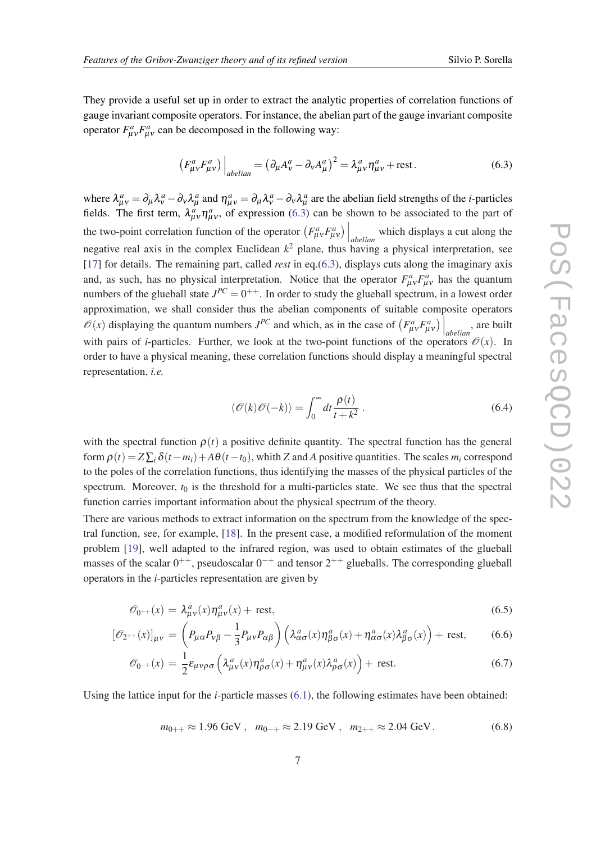They provide a useful set up in order to extract the analytic properties of correlation functions of gauge invariant composite operators. For instance, the abelian part of the gauge invariant composite operator  $F_{\mu\nu}^a F_{\mu\nu}^a$  can be decomposed in the following way:

$$
\left(F_{\mu\nu}^a F_{\mu\nu}^a\right)\Big|_{abelian} = \left(\partial_\mu A_\nu^a - \partial_\nu A_\mu^a\right)^2 = \lambda_{\mu\nu}^a \eta_{\mu\nu}^a + \text{rest.}\tag{6.3}
$$

where  $\lambda^a_{\mu\nu} = \partial_\mu \lambda^a_\nu - \partial_\nu \lambda^a_\mu$  and  $\eta^a_{\mu\nu} = \partial_\mu \lambda^a_\nu - \partial_\nu \lambda^a_\mu$  are the abelian field strengths of the *i*-particles fields. The first term,  $\lambda^a_{\mu\nu}$ ,  $\eta^a_{\mu\nu}$ , of expression (6.3) can be shown to be associated to the part of the two-point correlation function of the operator  $(F_{\mu\nu}^a F_{\mu\nu}^a)$  which displays a cut along the negative real axis in the complex Euclidean  $k^2$  plane, thus having a physical interpretation, see [[17\]](#page-8-0) for details. The remaining part, called *rest* in eq.(6.3), displays cuts along the imaginary axis and, as such, has no physical interpretation. Notice that the operator  $F^a_{\mu\nu}F^a_{\mu\nu}$  has the quantum numbers of the glueball state  $J^{PC} = 0^{++}$ . In order to study the glueball spectrum, in a lowest order approximation, we shall consider thus the abelian components of suitable composite operators  $\mathscr{O}(x)$  displaying the quantum numbers  $J^{PC}$  and which, as in the case of  $(F_{\mu\nu}^a F_{\mu\nu}^a)\Big|_{abelian}$ , are built with pairs of *i*-particles. Further, we look at the two-point functions of the operators  $\mathcal{O}(x)$ . In order to have a physical meaning, these correlation functions should display a meaningful spectral representation, *i.e.*

$$
\langle \mathcal{O}(k)\mathcal{O}(-k)\rangle = \int_0^\infty dt \frac{\rho(t)}{t+k^2} \,. \tag{6.4}
$$

with the spectral function  $\rho(t)$  a positive definite quantity. The spectral function has the general form  $\rho(t) = Z \sum_i \delta(t - m_i) + A \theta(t - t_0)$ , whith *Z* and *A* positive quantities. The scales  $m_i$  correspond to the poles of the correlation functions, thus identifying the masses of the physical particles of the spectrum. Moreover,  $t_0$  is the threshold for a multi-particles state. We see thus that the spectral function carries important information about the physical spectrum of the theory.

There are various methods to extract information on the spectrum from the knowledge of the spectral function, see, for example, [\[18](#page-8-0)]. In the present case, a modified reformulation of the moment problem [\[19](#page-8-0)], well adapted to the infrared region, was used to obtain estimates of the glueball masses of the scalar  $0^{++}$ , pseudoscalar  $0^{-+}$  and tensor  $2^{++}$  glueballs. The corresponding glueball operators in the *i*-particles representation are given by

$$
\mathcal{O}_{0^{++}}(x) = \lambda^a_{\mu\nu}(x)\eta^a_{\mu\nu}(x) + \text{ rest},\tag{6.5}
$$

$$
[\mathscr{O}_{2^{++}}(x)]_{\mu\nu} = \left(P_{\mu\alpha}P_{\nu\beta} - \frac{1}{3}P_{\mu\nu}P_{\alpha\beta}\right)\left(\lambda^a_{\alpha\sigma}(x)\eta^a_{\beta\sigma}(x) + \eta^a_{\alpha\sigma}(x)\lambda^a_{\beta\sigma}(x)\right) + \text{ rest},\tag{6.6}
$$

$$
\mathcal{O}_{0^{-+}}(x) = \frac{1}{2} \varepsilon_{\mu\nu\rho\sigma} \left( \lambda^a_{\mu\nu}(x) \eta^a_{\rho\sigma}(x) + \eta^a_{\mu\nu}(x) \lambda^a_{\rho\sigma}(x) \right) + \text{ rest.}
$$
 (6.7)

Using the lattice input for the *i*-particle masses ([6.1](#page-5-0)), the following estimates have been obtained:

$$
m_{0++} \approx 1.96 \text{ GeV}, \quad m_{0-+} \approx 2.19 \text{ GeV}, \quad m_{2++} \approx 2.04 \text{ GeV}.
$$
 (6.8)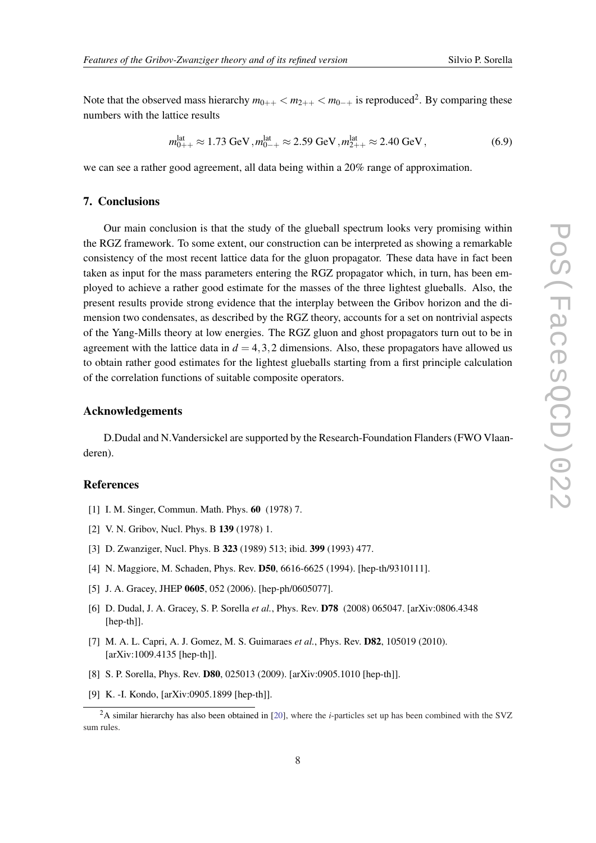<span id="page-7-0"></span>Note that the observed mass hierarchy  $m_{0++} < m_{2++} < m_{0-+}$  is reproduced<sup>2</sup>. By comparing these numbers with the lattice results

$$
m_{0++}^{\text{lat}} \approx 1.73 \text{ GeV}, m_{0-+}^{\text{lat}} \approx 2.59 \text{ GeV}, m_{2++}^{\text{lat}} \approx 2.40 \text{ GeV}, \tag{6.9}
$$

we can see a rather good agreement, all data being within a 20% range of approximation.

# 7. Conclusions

Our main conclusion is that the study of the glueball spectrum looks very promising within the RGZ framework. To some extent, our construction can be interpreted as showing a remarkable consistency of the most recent lattice data for the gluon propagator. These data have in fact been taken as input for the mass parameters entering the RGZ propagator which, in turn, has been employed to achieve a rather good estimate for the masses of the three lightest glueballs. Also, the present results provide strong evidence that the interplay between the Gribov horizon and the dimension two condensates, as described by the RGZ theory, accounts for a set on nontrivial aspects of the Yang-Mills theory at low energies. The RGZ gluon and ghost propagators turn out to be in agreement with the lattice data in  $d = 4,3,2$  dimensions. Also, these propagators have allowed us to obtain rather good estimates for the lightest glueballs starting from a first principle calculation of the correlation functions of suitable composite operators.

### Acknowledgements

D.Dudal and N.Vandersickel are supported by the Research-Foundation Flanders (FWO Vlaanderen).

#### References

- [1] I. M. Singer, Commun. Math. Phys. **60** (1978) 7.
- [2] V. N. Gribov, Nucl. Phys. B **139** (1978) 1.
- [3] D. Zwanziger, Nucl. Phys. B 323 (1989) 513; ibid. 399 (1993) 477.
- [4] N. Maggiore, M. Schaden, Phys. Rev. **D50**, 6616-6625 (1994). [hep-th/9310111].
- [5] J. A. Gracey, JHEP 0605, 052 (2006). [hep-ph/0605077].
- [6] D. Dudal, J. A. Gracey, S. P. Sorella *et al.*, Phys. Rev. D78 (2008) 065047. [arXiv:0806.4348 [hep-th]].
- [7] M. A. L. Capri, A. J. Gomez, M. S. Guimaraes *et al.*, Phys. Rev. D82, 105019 (2010). [arXiv:1009.4135 [hep-th]].
- [8] S. P. Sorella, Phys. Rev. **D80**, 025013 (2009). [arXiv:0905.1010 [hep-th]].
- [9] K. -I. Kondo, [arXiv:0905.1899 [hep-th]].

<sup>2</sup>A similar hierarchy has also been obtained in [[20\]](#page-8-0), where the *i*-particles set up has been combined with the SVZ sum rules.